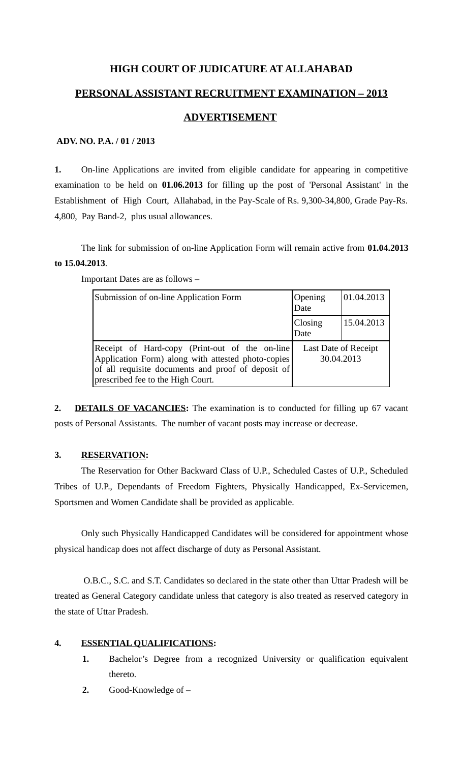## **HIGH COURT OF JUDICATURE AT ALLAHABAD**

### **PERSONAL ASSISTANT RECRUITMENT EXAMINATION – 2013**

#### **ADVERTISEMENT**

#### **ADV. NO. P.A. / 01 / 2013**

**1.** On-line Applications are invited from eligible candidate for appearing in competitive examination to be held on **01.06.2013** for filling up the post of 'Personal Assistant' in the Establishment of High Court, Allahabad, in the Pay-Scale of Rs. 9,300-34,800, Grade Pay-Rs. 4,800, Pay Band-2, plus usual allowances.

The link for submission of on-line Application Form will remain active from **01.04.2013 to 15.04.2013**.

| Submission of on-line Application Form                                                                                                                                                           | Opening<br>Date                    | 01.04.2013 |
|--------------------------------------------------------------------------------------------------------------------------------------------------------------------------------------------------|------------------------------------|------------|
|                                                                                                                                                                                                  | Closing<br>Date                    | 15.04.2013 |
| Receipt of Hard-copy (Print-out of the on-line)<br>Application Form) along with attested photo-copies<br>of all requisite documents and proof of deposit of<br>prescribed fee to the High Court. | Last Date of Receipt<br>30.04.2013 |            |

Important Dates are as follows –

**2. DETAILS OF VACANCIES:** The examination is to conducted for filling up 67 vacant posts of Personal Assistants. The number of vacant posts may increase or decrease.

#### **3. RESERVATION:**

The Reservation for Other Backward Class of U.P., Scheduled Castes of U.P., Scheduled Tribes of U.P., Dependants of Freedom Fighters, Physically Handicapped, Ex-Servicemen, Sportsmen and Women Candidate shall be provided as applicable.

Only such Physically Handicapped Candidates will be considered for appointment whose physical handicap does not affect discharge of duty as Personal Assistant.

 O.B.C., S.C. and S.T. Candidates so declared in the state other than Uttar Pradesh will be treated as General Category candidate unless that category is also treated as reserved category in the state of Uttar Pradesh.

#### **4. ESSENTIAL QUALIFICATIONS:**

- **1.** Bachelor's Degree from a recognized University or qualification equivalent thereto.
- **2.** Good-Knowledge of –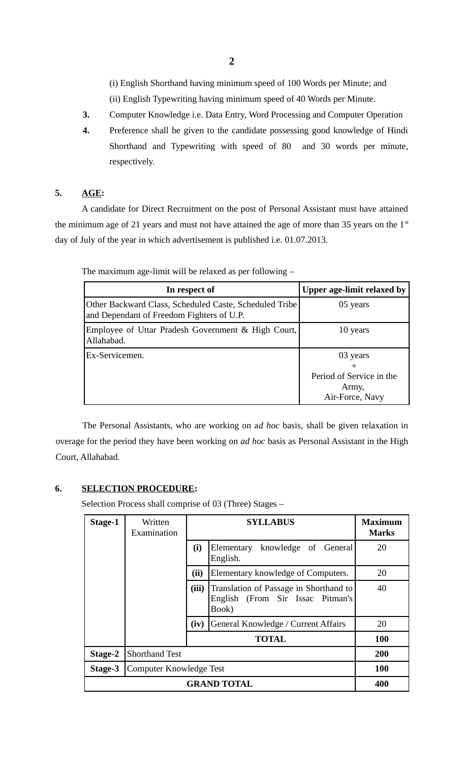(i) English Shorthand having minimum speed of 100 Words per Minute; and (ii) English Typewriting having minimum speed of 40 Words per Minute.

- **3.** Computer Knowledge i.e. Data Entry, Word Processing and Computer Operation
- **4.** Preference shall be given to the candidate possessing good knowledge of Hindi Shorthand and Typewriting with speed of 80 and 30 words per minute, respectively.

#### **5. AGE:**

A candidate for Direct Recruitment on the post of Personal Assistant must have attained the minimum age of 21 years and must not have attained the age of more than 35 years on the  $1<sup>st</sup>$ day of July of the year in which advertisement is published i.e. 01.07.2013.

| In respect of                                                                                       | Upper age-limit relaxed by                                       |
|-----------------------------------------------------------------------------------------------------|------------------------------------------------------------------|
| Other Backward Class, Scheduled Caste, Scheduled Tribe<br>and Dependant of Freedom Fighters of U.P. | 05 years                                                         |
| Employee of Uttar Pradesh Government & High Court,<br>Allahabad.                                    | 10 years                                                         |
| Ex-Servicemen.                                                                                      | 03 years<br>Period of Service in the<br>Army,<br>Air-Force, Navy |

The maximum age-limit will be relaxed as per following –

The Personal Assistants, who are working on a*d hoc* basis, shall be given relaxation in overage for the period they have been working on *ad hoc* basis as Personal Assistant in the High Court, Allahabad.

#### **6. SELECTION PROCEDURE:**

Selection Process shall comprise of 03 (Three) Stages –

| Stage-1            | Written<br>Examination  |       | Maximum<br><b>Marks</b>                                                             |     |
|--------------------|-------------------------|-------|-------------------------------------------------------------------------------------|-----|
|                    |                         | (i)   | knowledge of General<br>Elementary<br>English.                                      | 20  |
|                    |                         | (ii)  | Elementary knowledge of Computers.                                                  | 20  |
|                    |                         | (iii) | Translation of Passage in Shorthand to<br>English (From Sir Issac Pitman's<br>Book) | 40  |
|                    |                         | (iv)  | General Knowledge / Current Affairs                                                 | 20  |
|                    |                         |       | <b>TOTAL</b>                                                                        | 100 |
| Stage-2            | <b>Shorthand Test</b>   |       | 200                                                                                 |     |
| Stage-3            | Computer Knowledge Test |       |                                                                                     | 100 |
| <b>GRAND TOTAL</b> |                         |       |                                                                                     | 400 |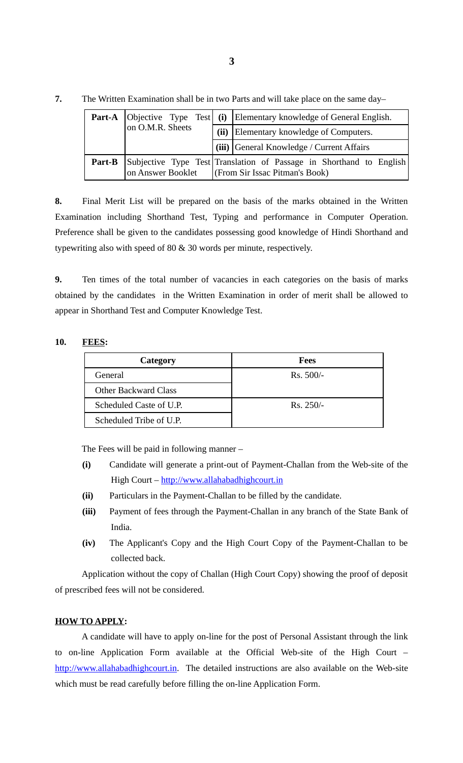|        |                   |                                                                                                       | Part-A   Objective Type Test   (i)   Elementary knowledge of General English. |
|--------|-------------------|-------------------------------------------------------------------------------------------------------|-------------------------------------------------------------------------------|
|        | on O.M.R. Sheets  | (ii)                                                                                                  | Elementary knowledge of Computers.                                            |
|        |                   |                                                                                                       | (iii) General Knowledge / Current Affairs                                     |
| Part-B | on Answer Booklet | Subjective Type Test Translation of Passage in Shorthand to English<br>(From Sir Issac Pitman's Book) |                                                                               |

**7.** The Written Examination shall be in two Parts and will take place on the same day–

**8.** Final Merit List will be prepared on the basis of the marks obtained in the Written Examination including Shorthand Test, Typing and performance in Computer Operation. Preference shall be given to the candidates possessing good knowledge of Hindi Shorthand and typewriting also with speed of 80 & 30 words per minute, respectively.

**9.** Ten times of the total number of vacancies in each categories on the basis of marks obtained by the candidates in the Written Examination in order of merit shall be allowed to appear in Shorthand Test and Computer Knowledge Test.

#### **10. FEES:**

| Category                    | Fees        |
|-----------------------------|-------------|
| General                     | $Rs. 500/-$ |
| <b>Other Backward Class</b> |             |
| Scheduled Caste of U.P.     | $Rs. 250/-$ |
| Scheduled Tribe of U.P.     |             |

The Fees will be paid in following manner –

- **(i)** Candidate will generate a print-out of Payment-Challan from the Web-site of the High Court – [http://www.allahabadhighcourt.in](http://www.allahabadhighcourt.in/)
- **(ii)** Particulars in the Payment-Challan to be filled by the candidate.
- **(iii)** Payment of fees through the Payment-Challan in any branch of the State Bank of India.
- **(iv)** The Applicant's Copy and the High Court Copy of the Payment-Challan to be collected back.

Application without the copy of Challan (High Court Copy) showing the proof of deposit of prescribed fees will not be considered.

#### **HOW TO APPLY:**

A candidate will have to apply on-line for the post of Personal Assistant through the link to on-line Application Form available at the Official Web-site of the High Court – [http://www.allahabadhighcourt.in.](http://www.allahabadhighcourt.in/) The detailed instructions are also available on the Web-site which must be read carefully before filling the on-line Application Form.